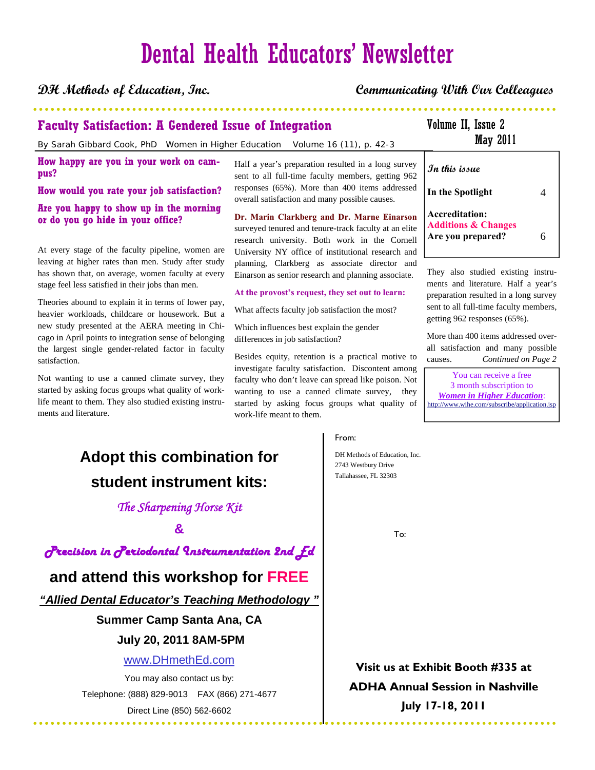# Dental Health Educators' Newsletter

## **DH Methods of Education, Inc. Communicating With Our Colleagues**

Volume II, Issue 2

## **Faculty Satisfaction: A Gendered Issue of Integration**

By Sarah Gibbard Cook, PhD Women in Higher Education Volume 16 (11), p. 42-3

**How happy are you in your work on campus?**

## **How would you rate your job satisfaction? Are you happy to show up in the morning**

**or do you go hide in your office?** 

At every stage of the faculty pipeline, women are leaving at higher rates than men. Study after study has shown that, on average, women faculty at every stage feel less satisfied in their jobs than men.

Theories abound to explain it in terms of lower pay, heavier workloads, childcare or housework. But a new study presented at the AERA meeting in Chicago in April points to integration sense of belonging the largest single gender-related factor in faculty satisfaction.

Not wanting to use a canned climate survey, they started by asking focus groups what quality of worklife meant to them. They also studied existing instruments and literature.

## **Adopt this combination for student instrument kits:**

*The Sharpening Horse Kit* 

## **&**

*Precision in Periodontal Instrumentation 2nd Ed* 

## **and attend this workshop for FREE**

*"Allied Dental Educator's Teaching Methodology "* 

## **Summer Camp Santa Ana, CA July 20, 2011 8AM-5PM**

### www.DHmethEd.com

You may also contact us by: Telephone: (888) 829-9013 FAX (866) 271-4677 Direct Line (850) 562-6602

Half a year's preparation resulted in a long survey sent to all full-time faculty members, getting 962 responses (65%). More than 400 items addressed overall satisfaction and many possible causes.

**Dr. Marin Clarkberg and Dr. Marne Einarson** surveyed tenured and tenure-track faculty at an elite research university. Both work in the Cornell University NY office of institutional research and planning, Clarkberg as associate director and Einarson as senior research and planning associate.

#### **At the provost's request, they set out to learn:**

What affects faculty job satisfaction the most?

Which influences best explain the gender differences in job satisfaction?

Besides equity, retention is a practical motive to investigate faculty satisfaction. Discontent among faculty who don't leave can spread like poison. Not wanting to use a canned climate survey, they started by asking focus groups what quality of work-life meant to them.

| ------                                        |  |
|-----------------------------------------------|--|
| In this issue                                 |  |
| In the Spotlight                              |  |
| $\Lambda$ , a see all $\Lambda$ and $\Lambda$ |  |

May 2011

**Accreditation: Additions & Changes Are you prepared?** 6

They also studied existing instruments and literature. Half a year's preparation resulted in a long survey sent to all full-time faculty members, getting 962 responses (65%).

More than 400 items addressed overall satisfaction and many possible causes. *Continued on Page 2* 

You can receive a free 3 month subscription to *Women in Higher Education*: http://www.wihe.com/subscribe/application.jsp

### From:

DH Methods of Education, Inc. 2743 Westbury Drive Tallahassee, FL 32303

To:

**Visit us at Exhibit Booth #335 at ADHA Annual Session in Nashville July 17-18, 2011** 

 $.........$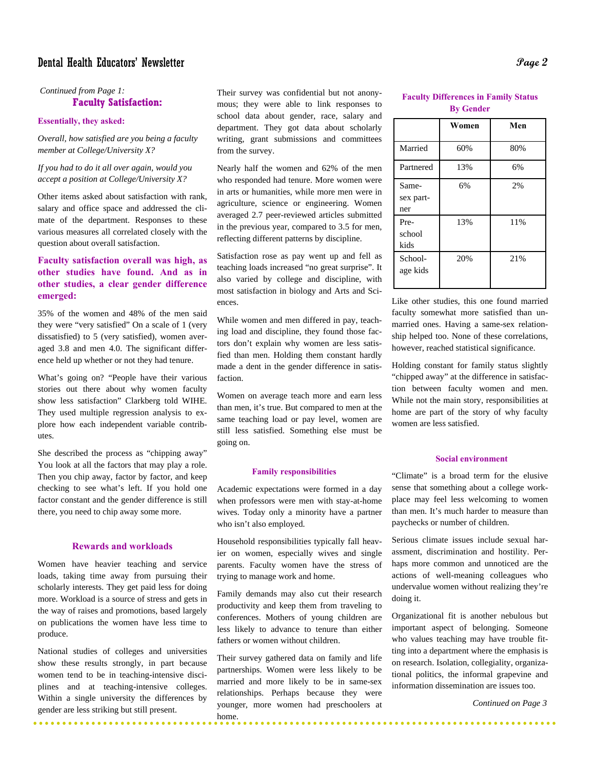### Dental Health Educators' Newsletter  $\bm{\mathcal{P}}$

## *Continued from Page 1:*<br>**Faculty Satis Faculty Satisfaction:**

#### **Essentially, they asked:**

*Overall, how satisfied are you being a faculty member at College/University X?* 

#### *If you had to do it all over again, would you accept a position at College/University X?*

Other items asked about satisfaction with rank, salary and office space and addressed the climate of the department. Responses to these various measures all correlated closely with the question about overall satisfaction.

#### **Faculty satisfaction overall was high, as other studies have found. And as in other studies, a clear gender difference emerged:**

35% of the women and 48% of the men said they were "very satisfied" On a scale of 1 (very dissatisfied) to 5 (very satisfied), women averaged 3.8 and men 4.0. The significant difference held up whether or not they had tenure.

What's going on? "People have their various stories out there about why women faculty show less satisfaction" Clarkberg told WIHE. They used multiple regression analysis to explore how each independent variable contributes.

She described the process as "chipping away" You look at all the factors that may play a role. Then you chip away, factor by factor, and keep checking to see what's left. If you hold one factor constant and the gender difference is still there, you need to chip away some more.

#### **Rewards and workloads**

Women have heavier teaching and service loads, taking time away from pursuing their scholarly interests. They get paid less for doing more. Workload is a source of stress and gets in the way of raises and promotions, based largely on publications the women have less time to produce.

National studies of colleges and universities show these results strongly, in part because women tend to be in teaching-intensive disciplines and at teaching-intensive colleges. Within a single university the differences by gender are less striking but still present.

. . . . . . . . . . . . . . .

Their survey was confidential but not anonymous; they were able to link responses to school data about gender, race, salary and department. They got data about scholarly writing, grant submissions and committees from the survey.

Nearly half the women and 62% of the men who responded had tenure. More women were in arts or humanities, while more men were in agriculture, science or engineering. Women averaged 2.7 peer-reviewed articles submitted in the previous year, compared to 3.5 for men, reflecting different patterns by discipline.

Satisfaction rose as pay went up and fell as teaching loads increased "no great surprise". It also varied by college and discipline, with most satisfaction in biology and Arts and Sciences.

While women and men differed in pay, teaching load and discipline, they found those factors don't explain why women are less satisfied than men. Holding them constant hardly made a dent in the gender difference in satisfaction.

Women on average teach more and earn less than men, it's true. But compared to men at the same teaching load or pay level, women are still less satisfied. Something else must be going on.

#### **Family responsibilities**

Academic expectations were formed in a day when professors were men with stay-at-home wives. Today only a minority have a partner who isn't also employed.

Household responsibilities typically fall heavier on women, especially wives and single parents. Faculty women have the stress of trying to manage work and home.

Family demands may also cut their research productivity and keep them from traveling to conferences. Mothers of young children are less likely to advance to tenure than either fathers or women without children.

Their survey gathered data on family and life partnerships. Women were less likely to be married and more likely to be in same-sex relationships. Perhaps because they were younger, more women had preschoolers at home.

#### **Faculty Differences in Family Status By Gender**

|                           | Women | Men |
|---------------------------|-------|-----|
| Married                   | 60%   | 80% |
| Partnered                 | 13%   | 6%  |
| Same-<br>sex part-<br>ner | 6%    | 2%  |
| Pre-<br>school<br>kids    | 13%   | 11% |
| School-<br>age kids       | 20%   | 21% |

Like other studies, this one found married faculty somewhat more satisfied than unmarried ones. Having a same-sex relationship helped too. None of these correlations, however, reached statistical significance.

Holding constant for family status slightly "chipped away" at the difference in satisfaction between faculty women and men. While not the main story, responsibilities at home are part of the story of why faculty women are less satisfied.

#### **Social environment**

"Climate" is a broad term for the elusive sense that something about a college workplace may feel less welcoming to women than men. It's much harder to measure than paychecks or number of children.

Serious climate issues include sexual harassment, discrimination and hostility. Perhaps more common and unnoticed are the actions of well-meaning colleagues who undervalue women without realizing they're doing it.

Organizational fit is another nebulous but important aspect of belonging. Someone who values teaching may have trouble fitting into a department where the emphasis is on research. Isolation, collegiality, organizational politics, the informal grapevine and information dissemination are issues too.

. . . . . . . . . . . . . .

 *Continued on Page 3*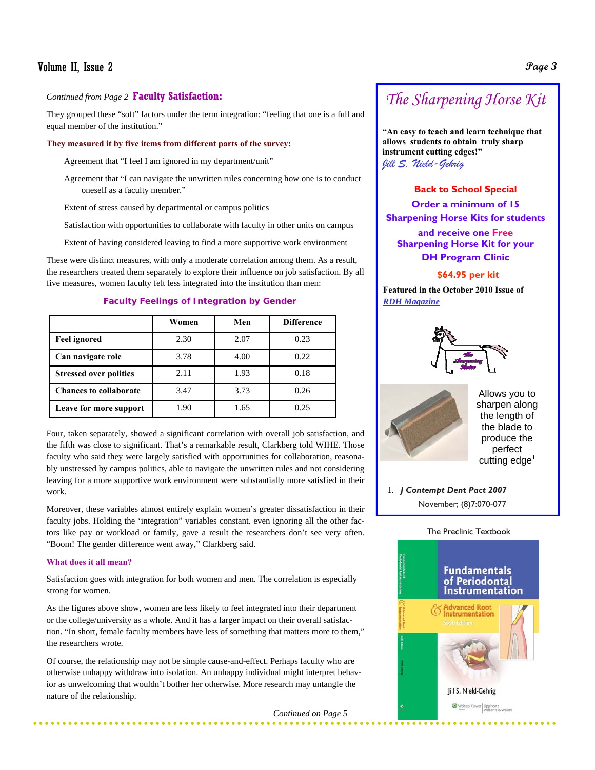## Volume II, Issue 2

#### *Continued from Page 2* **Faculty Satisfaction:**

They grouped these "soft" factors under the term integration: "feeling that one is a full and equal member of the institution."

#### **They measured it by five items from different parts of the survey:**

Agreement that "I feel I am ignored in my department/unit"

Agreement that "I can navigate the unwritten rules concerning how one is to conduct oneself as a faculty member."

Extent of stress caused by departmental or campus politics

Satisfaction with opportunities to collaborate with faculty in other units on campus

Extent of having considered leaving to find a more supportive work environment

These were distinct measures, with only a moderate correlation among them. As a result, the researchers treated them separately to explore their influence on job satisfaction. By all five measures, women faculty felt less integrated into the institution than men:

#### **Faculty Feelings of Integration by Gender**

|                               | Women | Men  | <b>Difference</b> |
|-------------------------------|-------|------|-------------------|
| <b>Feel ignored</b>           | 2.30  | 2.07 | 0.23              |
| Can navigate role             | 3.78  | 4.00 | 0.22              |
| <b>Stressed over politics</b> | 2.11  | 1.93 | 0.18              |
| <b>Chances to collaborate</b> | 3.47  | 3.73 | 0.26              |
| Leave for more support        | 1.90  | 1.65 | 0.25              |

Four, taken separately, showed a significant correlation with overall job satisfaction, and the fifth was close to significant. That's a remarkable result, Clarkberg told WIHE. Those faculty who said they were largely satisfied with opportunities for collaboration, reasonably unstressed by campus politics, able to navigate the unwritten rules and not considering leaving for a more supportive work environment were substantially more satisfied in their work.

Moreover, these variables almost entirely explain women's greater dissatisfaction in their faculty jobs. Holding the 'integration" variables constant. even ignoring all the other factors like pay or workload or family, gave a result the researchers don't see very often. "Boom! The gender difference went away," Clarkberg said.

#### **What does it all mean?**

Satisfaction goes with integration for both women and men. The correlation is especially strong for women.

As the figures above show, women are less likely to feel integrated into their department or the college/university as a whole. And it has a larger impact on their overall satisfaction. "In short, female faculty members have less of something that matters more to them," the researchers wrote.

Of course, the relationship may not be simple cause-and-effect. Perhaps faculty who are otherwise unhappy withdraw into isolation. An unhappy individual might interpret behavior as unwelcoming that wouldn't bother her otherwise. More research may untangle the nature of the relationship.

 *Continued on Page 5* 



**"An easy to teach and learn technique that allows students to obtain truly sharp instrument cutting edges!"**  *Jill S. Nield-Gehrig*

#### **Back to School Special**

**Order a minimum of 15 Sharpening Horse Kits for students** 

**and receive one Free Sharpening Horse Kit for your DH Program Clinic** 

#### **\$64.95 per kit**

**Featured in the October 2010 Issue of**  *RDH Magazine*





Allows you to sharpen along the length of the blade to produce the perfect cutting  $edge<sup>1</sup>$ 

 1. *J Contempt Dent Pact 2007* November; (8)7:070-077

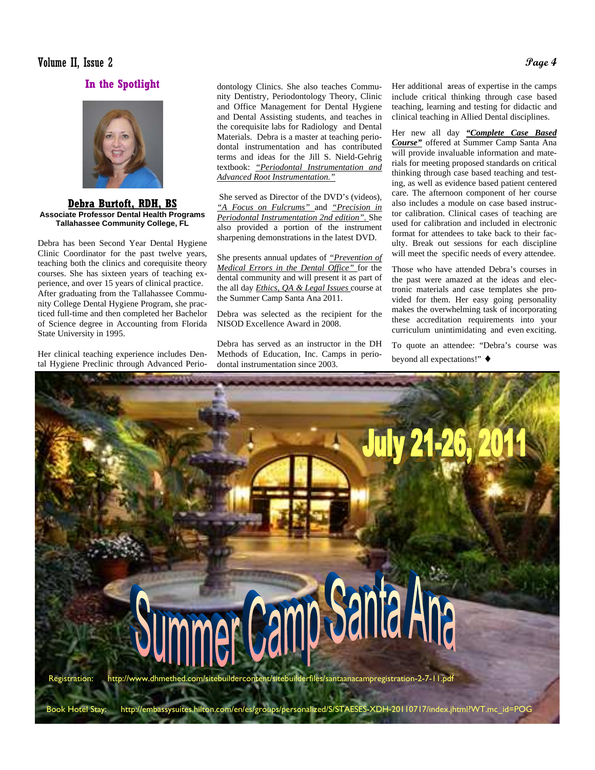#### Volume II, Issue 2 **Page 4**

#### **In the Spotlight**



#### **Debra Burtoft, RDH, BS Associate Professor Dental Health Programs Tallahassee Community College, FL**

Debra has been Second Year Dental Hygiene Clinic Coordinator for the past twelve years, teaching both the clinics and corequisite theory courses. She has sixteen years of teaching experience, and over 15 years of clinical practice. After graduating from the Tallahassee Community College Dental Hygiene Program, she practiced full-time and then completed her Bachelor of Science degree in Accounting from Florida State University in 1995.

Her clinical teaching experience includes Dental Hygiene Preclinic through Advanced Periodontology Clinics. She also teaches Community Dentistry, Periodontology Theory, Clinic and Office Management for Dental Hygiene and Dental Assisting students, and teaches in the corequisite labs for Radiology and Dental Materials. Debra is a master at teaching periodontal instrumentation and has contributed terms and ideas for the Jill S. Nield-Gehrig textbook: *"Periodontal Instrumentation and Advanced Root Instrumentation."*

 She served as Director of the DVD's (videos), *"A Focus on Fulcrums"* and *"Precision in Periodontal Instrumentation 2nd edition".* She also provided a portion of the instrument sharpening demonstrations in the latest DVD.

She presents annual updates of *"Prevention of Medical Errors in the Dental Office"* for the dental community and will present it as part of the all day *Ethics, QA & Legal Issues* course at the Summer Camp Santa Ana 2011.

Debra was selected as the recipient for the NISOD Excellence Award in 2008.

Debra has served as an instructor in the DH Methods of Education, Inc. Camps in periodontal instrumentation since 2003.

Her additional areas of expertise in the camps include critical thinking through case based teaching, learning and testing for didactic and clinical teaching in Allied Dental disciplines.

Her new all day *"Complete Case Based Course"* offered at Summer Camp Santa Ana will provide invaluable information and materials for meeting proposed standards on critical thinking through case based teaching and testing, as well as evidence based patient centered care. The afternoon component of her course also includes a module on case based instructor calibration. Clinical cases of teaching are used for calibration and included in electronic format for attendees to take back to their faculty. Break out sessions for each discipline will meet the specific needs of every attendee.

Those who have attended Debra's courses in the past were amazed at the ideas and electronic materials and case templates she provided for them. Her easy going personality makes the overwhelming task of incorporating these accreditation requirements into your curriculum unintimidating and even exciting.

To quote an attendee: "Debra's course was beyond all expectations!" ♦

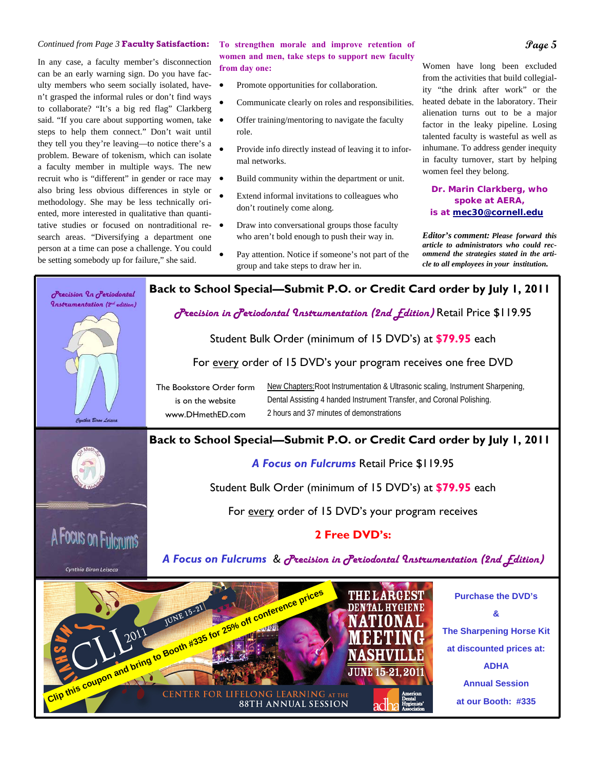#### *Continued from Page 3* **Faculty Satisfaction:**

In any case, a faculty member's disconnection can be an early warning sign. Do you have faculty members who seem socially isolated, have-  $\bullet$ n't grasped the informal rules or don't find ways to collaborate? "It's a big red flag" Clarkberg said. "If you care about supporting women, take  $\bullet$ steps to help them connect." Don't wait until they tell you they're leaving—to notice there's a problem. Beware of tokenism, which can isolate a faculty member in multiple ways. The new recruit who is "different" in gender or race may also bring less obvious differences in style or methodology. She may be less technically oriented, more interested in qualitative than quantitative studies or focused on nontraditional research areas. "Diversifying a department one person at a time can pose a challenge. You could be setting somebody up for failure," she said.

**To strengthen morale and improve retention of women and men, take steps to support new faculty from day one:**

- Promote opportunities for collaboration.
- Communicate clearly on roles and responsibilities.
- Offer training/mentoring to navigate the faculty role.
- Provide info directly instead of leaving it to informal networks.
- Build community within the department or unit.
- Extend informal invitations to colleagues who don't routinely come along.
- Draw into conversational groups those faculty who aren't bold enough to push their way in.
- Pay attention. Notice if someone's not part of the group and take steps to draw her in.

Women have long been excluded from the activities that build collegiality "the drink after work" or the heated debate in the laboratory. Their alienation turns out to be a major factor in the leaky pipeline. Losing talented faculty is wasteful as well as inhumane. To address gender inequity in faculty turnover, start by helping women feel they belong.

#### **Dr. Marin Clarkberg, who spoke at AERA, is at mec30@cornell.edu**

*Editor's comment: Please forward this article to administrators who could recommend the strategies stated in the article to all employees in your institution.* 



#### **Page 5**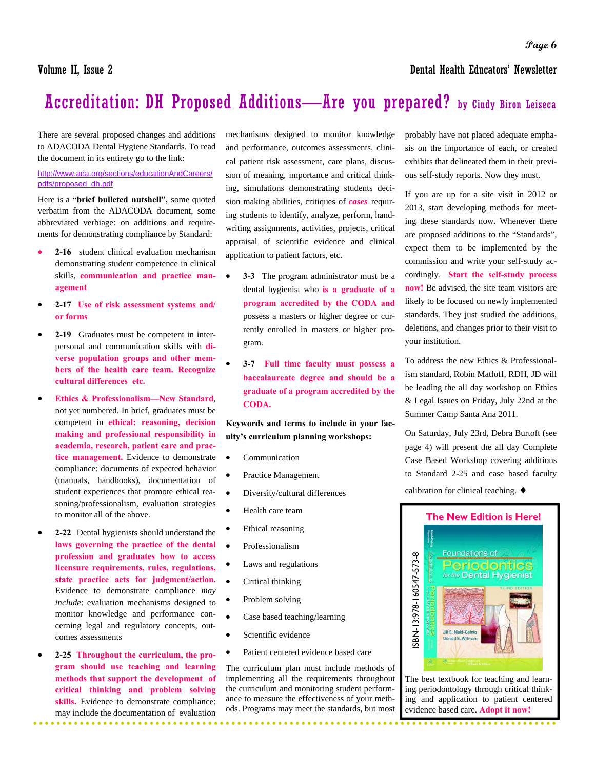#### **Page 6**

# Accreditation: DH Proposed Additions—Are you prepared? by Cindy Biron Leiseca

There are several proposed changes and additions to ADACODA Dental Hygiene Standards. To read the document in its entirety go to the link:

#### http://www.ada.org/sections/educationAndCareers/ pdfs/proposed\_dh.pdf

Here is a **"brief bulleted nutshell",** some quoted verbatim from the ADACODA document, some abbreviated verbiage: on additions and requirements for demonstrating compliance by Standard:

- **2-16** student clinical evaluation mechanism demonstrating student competence in clinical skills, **communication and practice management**
- **2-17 Use of risk assessment systems and/ or forms**
- **2-19** Graduates must be competent in interpersonal and communication skills with **diverse population groups and other members of the health care team. Recognize cultural differences etc.**
- **Ethics & Professionalism—New Standard**, not yet numbered. In brief, graduates must be competent in **ethical: reasoning, decision making and professional responsibility in academia, research, patient care and practice management.** Evidence to demonstrate compliance: documents of expected behavior (manuals, handbooks), documentation of student experiences that promote ethical reasoning/professionalism, evaluation strategies to monitor all of the above.
- **2-22** Dental hygienists should understand the **laws governing the practice of the dental profession and graduates how to access licensure requirements, rules, regulations, state practice acts for judgment/action.**  Evidence to demonstrate compliance *may include*: evaluation mechanisms designed to monitor knowledge and performance concerning legal and regulatory concepts, outcomes assessments
- **2-25 Throughout the curriculum, the program should use teaching and learning methods that support the development of critical thinking and problem solving skills.** Evidence to demonstrate compliance: may include the documentation of evaluation

mechanisms designed to monitor knowledge and performance, outcomes assessments, clinical patient risk assessment, care plans, discussion of meaning, importance and critical thinking, simulations demonstrating students decision making abilities, critiques of *cases* requiring students to identify, analyze, perform, handwriting assignments, activities, projects, critical appraisal of scientific evidence and clinical application to patient factors, etc.

- **3-3** The program administrator must be a dental hygienist who **is a graduate of a program accredited by the CODA and**  possess a masters or higher degree or currently enrolled in masters or higher program.
- **3-7 Full time faculty must possess a baccalaureate degree and should be a graduate of a program accredited by the CODA.**

**Keywords and terms to include in your faculty's curriculum planning workshops:** 

- Communication
- Practice Management
- Diversity/cultural differences
- Health care team
- Ethical reasoning
- Professionalism
	- Laws and regulations
	- Critical thinking
	- Problem solving
- Case based teaching/learning
- Scientific evidence
- Patient centered evidence based care

The curriculum plan must include methods of implementing all the requirements throughout the curriculum and monitoring student performance to measure the effectiveness of your methods. Programs may meet the standards, but most probably have not placed adequate emphasis on the importance of each, or created exhibits that delineated them in their previous self-study reports. Now they must.

If you are up for a site visit in 2012 or 2013, start developing methods for meeting these standards now. Whenever there are proposed additions to the "Standards", expect them to be implemented by the commission and write your self-study accordingly. **Start the self-study process now!** Be advised, the site team visitors are likely to be focused on newly implemented standards. They just studied the additions, deletions, and changes prior to their visit to your institution.

To address the new Ethics & Professionalism standard, Robin Matloff, RDH, JD will be leading the all day workshop on Ethics & Legal Issues on Friday, July 22nd at the Summer Camp Santa Ana 2011.

On Saturday, July 23rd, Debra Burtoft (see page 4) will present the all day Complete Case Based Workshop covering additions to Standard 2-25 and case based faculty

calibration for clinical teaching. ♦



The best textbook for teaching and learning periodontology through critical thinking and application to patient centered evidence based care. **Adopt it now!**

## Volume II, Issue 2 Dental Health Educators' Newsletter